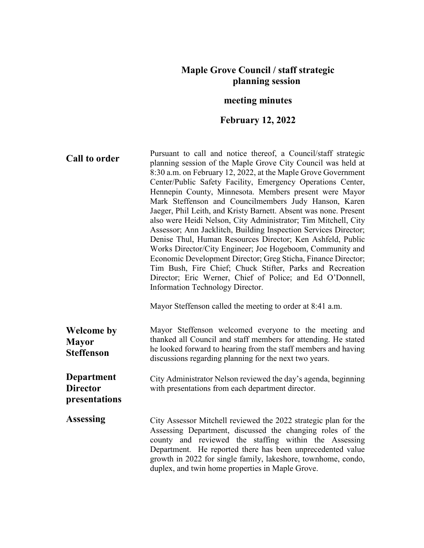## **Maple Grove Council / staff strategic planning session**

## **meeting minutes**

## **February 12, 2022**

growth in 2022 for single family, lakeshore, townhome, condo,

duplex, and twin home properties in Maple Grove.

**Call to order** Pursuant to call and notice thereof, a Council/staff strategic planning session of the Maple Grove City Council was held at 8:30 a.m. on February 12, 2022, at the Maple Grove Government Center/Public Safety Facility, Emergency Operations Center, Hennepin County, Minnesota. Members present were Mayor Mark Steffenson and Councilmembers Judy Hanson, Karen Jaeger, Phil Leith, and Kristy Barnett. Absent was none. Present also were Heidi Nelson, City Administrator; Tim Mitchell, City Assessor; Ann Jacklitch, Building Inspection Services Director; Denise Thul, Human Resources Director; Ken Ashfeld, Public Works Director/City Engineer; Joe Hogeboom, Community and Economic Development Director; Greg Sticha, Finance Director; Tim Bush, Fire Chief; Chuck Stifter, Parks and Recreation Director; Eric Werner, Chief of Police; and Ed O'Donnell, Information Technology Director. Mayor Steffenson called the meeting to order at 8:41 a.m. **Welcome by Mayor Steffenson** Mayor Steffenson welcomed everyone to the meeting and thanked all Council and staff members for attending. He stated he looked forward to hearing from the staff members and having discussions regarding planning for the next two years. **Department Director presentations** City Administrator Nelson reviewed the day's agenda, beginning with presentations from each department director. **Assessing** City Assessor Mitchell reviewed the 2022 strategic plan for the Assessing Department, discussed the changing roles of the county and reviewed the staffing within the Assessing Department. He reported there has been unprecedented value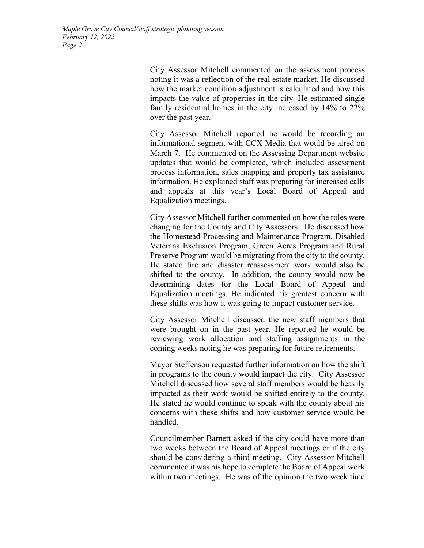> City Assessor Mitchell commented on the assessment process noting it was a reflection of the real estate market. He discussed how the market condition adjustment is calculated and how this impacts the value of properties in the city. He estimated single family residential homes in the city increased by 14% to 22% over the past year.

> City Assessor Mitchell reported he would be recording an informational segment with CCX Media that would be aired on March 7. He commented on the Assessing Department website updates that would be completed, which included assessment process information, sales mapping and property tax assistance information. He explained staff was preparing for increased calls and appeals at this year's Local Board of Appeal and Equalization meetings.

> City Assessor Mitchell further commented on how the roles were changing for the County and City Assessors. He discussed how the Homestead Processing and Maintenance Program, Disabled Veterans Exclusion Program, Green Acres Program and Rural Preserve Program would be migrating from the city to the county. He stated fire and disaster reassessment work would also be shifted to the county. In addition, the county would now be determining dates for the Local Board of Appeal and Equalization meetings. He indicated his greatest concern with these shifts was how it was going to impact customer service.

> City Assessor Mitchell discussed the new staff members that were brought on in the past year. He reported he would be reviewing work allocation and staffing assignments in the coming weeks noting he was preparing for future retirements.

> Mayor Steffenson requested further information on how the shift in programs to the county would impact the city. City Assessor Mitchell discussed how several staff members would be heavily impacted as their work would be shifted entirely to the county. He stated he would continue to speak with the county about his concerns with these shifts and how customer service would be handled.

> Councilmember Barnett asked if the city could have more than two weeks between the Board of Appeal meetings or if the city should be considering a third meeting. City Assessor Mitchell commented it was his hope to complete the Board of Appeal work within two meetings. He was of the opinion the two week time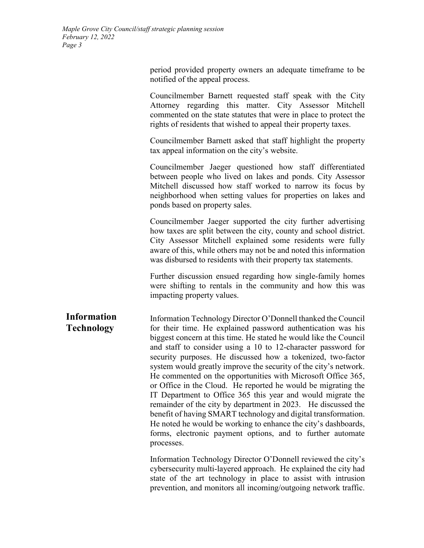period provided property owners an adequate timeframe to be notified of the appeal process.

Councilmember Barnett requested staff speak with the City Attorney regarding this matter. City Assessor Mitchell commented on the state statutes that were in place to protect the rights of residents that wished to appeal their property taxes.

Councilmember Barnett asked that staff highlight the property tax appeal information on the city's website.

Councilmember Jaeger questioned how staff differentiated between people who lived on lakes and ponds. City Assessor Mitchell discussed how staff worked to narrow its focus by neighborhood when setting values for properties on lakes and ponds based on property sales.

Councilmember Jaeger supported the city further advertising how taxes are split between the city, county and school district. City Assessor Mitchell explained some residents were fully aware of this, while others may not be and noted this information was disbursed to residents with their property tax statements.

Further discussion ensued regarding how single-family homes were shifting to rentals in the community and how this was impacting property values.

**Information Technology** Information Technology Director O'Donnell thanked the Council for their time. He explained password authentication was his biggest concern at this time. He stated he would like the Council and staff to consider using a 10 to 12-character password for security purposes. He discussed how a tokenized, two-factor system would greatly improve the security of the city's network. He commented on the opportunities with Microsoft Office 365, or Office in the Cloud. He reported he would be migrating the IT Department to Office 365 this year and would migrate the remainder of the city by department in 2023. He discussed the benefit of having SMART technology and digital transformation. He noted he would be working to enhance the city's dashboards, forms, electronic payment options, and to further automate processes.

> Information Technology Director O'Donnell reviewed the city's cybersecurity multi-layered approach. He explained the city had state of the art technology in place to assist with intrusion prevention, and monitors all incoming/outgoing network traffic.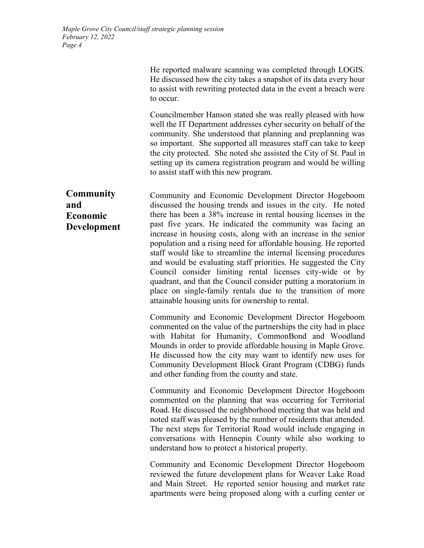He reported malware scanning was completed through LOGIS. He discussed how the city takes a snapshot of its data every hour to assist with rewriting protected data in the event a breach were to occur.

Councilmember Hanson stated she was really pleased with how well the IT Department addresses cyber security on behalf of the community. She understood that planning and preplanning was so important. She supported all measures staff can take to keep the city protected. She noted she assisted the City of St. Paul in setting up its camera registration program and would be willing to assist staff with this new program.

**and Economic Development** Community and Economic Development Director Hogeboom discussed the housing trends and issues in the city. He noted there has been a 38% increase in rental housing licenses in the past five years. He indicated the community was facing an increase in housing costs, along with an increase in the senior population and a rising need for affordable housing. He reported staff would like to streamline the internal licensing procedures and would be evaluating staff priorities. He suggested the City Council consider limiting rental licenses city-wide or by quadrant, and that the Council consider putting a moratorium in place on single-family rentals due to the transition of more attainable housing units for ownership to rental.

> Community and Economic Development Director Hogeboom commented on the value of the partnerships the city had in place with Habitat for Humanity, CommonBond and Woodland Mounds in order to provide affordable housing in Maple Grove. He discussed how the city may want to identify new uses for Community Development Block Grant Program (CDBG) funds and other funding from the county and state.

> Community and Economic Development Director Hogeboom commented on the planning that was occurring for Territorial Road. He discussed the neighborhood meeting that was held and noted staff was pleased by the number of residents that attended. The next steps for Territorial Road would include engaging in conversations with Hennepin County while also working to understand how to protect a historical property.

> Community and Economic Development Director Hogeboom reviewed the future development plans for Weaver Lake Road and Main Street. He reported senior housing and market rate apartments were being proposed along with a curling center or

**Community**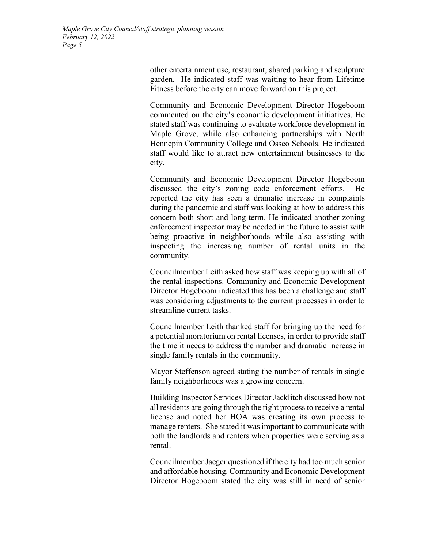other entertainment use, restaurant, shared parking and sculpture garden. He indicated staff was waiting to hear from Lifetime Fitness before the city can move forward on this project.

Community and Economic Development Director Hogeboom commented on the city's economic development initiatives. He stated staff was continuing to evaluate workforce development in Maple Grove, while also enhancing partnerships with North Hennepin Community College and Osseo Schools. He indicated staff would like to attract new entertainment businesses to the city.

Community and Economic Development Director Hogeboom discussed the city's zoning code enforcement efforts. He reported the city has seen a dramatic increase in complaints during the pandemic and staff was looking at how to address this concern both short and long-term. He indicated another zoning enforcement inspector may be needed in the future to assist with being proactive in neighborhoods while also assisting with inspecting the increasing number of rental units in the community.

Councilmember Leith asked how staff was keeping up with all of the rental inspections. Community and Economic Development Director Hogeboom indicated this has been a challenge and staff was considering adjustments to the current processes in order to streamline current tasks.

Councilmember Leith thanked staff for bringing up the need for a potential moratorium on rental licenses, in order to provide staff the time it needs to address the number and dramatic increase in single family rentals in the community.

Mayor Steffenson agreed stating the number of rentals in single family neighborhoods was a growing concern.

Building Inspector Services Director Jacklitch discussed how not all residents are going through the right process to receive a rental license and noted her HOA was creating its own process to manage renters. She stated it was important to communicate with both the landlords and renters when properties were serving as a rental.

Councilmember Jaeger questioned if the city had too much senior and affordable housing. Community and Economic Development Director Hogeboom stated the city was still in need of senior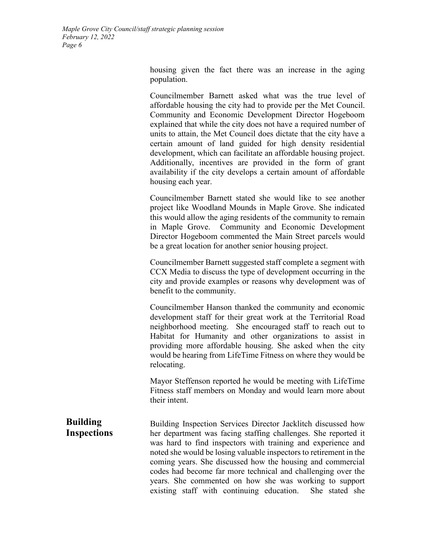> housing given the fact there was an increase in the aging population.

> Councilmember Barnett asked what was the true level of affordable housing the city had to provide per the Met Council. Community and Economic Development Director Hogeboom explained that while the city does not have a required number of units to attain, the Met Council does dictate that the city have a certain amount of land guided for high density residential development, which can facilitate an affordable housing project. Additionally, incentives are provided in the form of grant availability if the city develops a certain amount of affordable housing each year.

> Councilmember Barnett stated she would like to see another project like Woodland Mounds in Maple Grove. She indicated this would allow the aging residents of the community to remain in Maple Grove. Community and Economic Development Director Hogeboom commented the Main Street parcels would be a great location for another senior housing project.

> Councilmember Barnett suggested staff complete a segment with CCX Media to discuss the type of development occurring in the city and provide examples or reasons why development was of benefit to the community.

> Councilmember Hanson thanked the community and economic development staff for their great work at the Territorial Road neighborhood meeting. She encouraged staff to reach out to Habitat for Humanity and other organizations to assist in providing more affordable housing. She asked when the city would be hearing from LifeTime Fitness on where they would be relocating.

> Mayor Steffenson reported he would be meeting with LifeTime Fitness staff members on Monday and would learn more about their intent.

**Building Inspections** Building Inspection Services Director Jacklitch discussed how her department was facing staffing challenges. She reported it was hard to find inspectors with training and experience and noted she would be losing valuable inspectors to retirement in the coming years. She discussed how the housing and commercial codes had become far more technical and challenging over the years. She commented on how she was working to support existing staff with continuing education. She stated she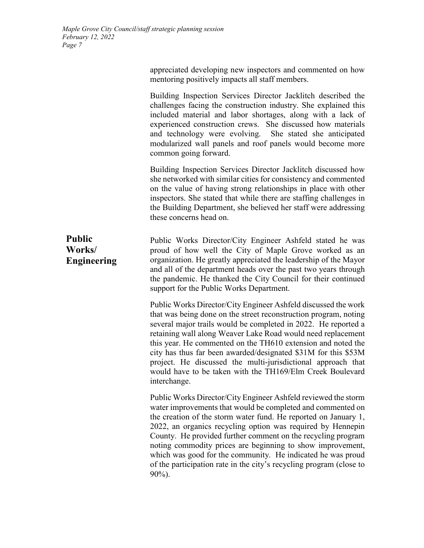|                                               | appreciated developing new inspectors and commented on how<br>mentoring positively impacts all staff members.                                                                                                                                                                                                                                                                                                    |
|-----------------------------------------------|------------------------------------------------------------------------------------------------------------------------------------------------------------------------------------------------------------------------------------------------------------------------------------------------------------------------------------------------------------------------------------------------------------------|
|                                               | Building Inspection Services Director Jacklitch described the<br>challenges facing the construction industry. She explained this<br>included material and labor shortages, along with a lack of<br>experienced construction crews. She discussed how materials<br>and technology were evolving. She stated she anticipated<br>modularized wall panels and roof panels would become more<br>common going forward. |
|                                               | Building Inspection Services Director Jacklitch discussed how<br>she networked with similar cities for consistency and commented<br>on the value of having strong relationships in place with other<br>inspectors. She stated that while there are staffing challenges in<br>the Building Department, she believed her staff were addressing<br>these concerns head on.                                          |
| <b>Public</b><br>Works/<br><b>Engineering</b> | Public Works Director/City Engineer Ashfeld stated he was<br>proud of how well the City of Maple Grove worked as an<br>organization. He greatly appreciated the leadership of the Mayor<br>and all of the department heads over the past two years through<br>the pandemic. He thanked the City Council for their continued<br>support for the Public Works Department.                                          |
|                                               | Public Works Director/City Engineer Ashfeld discussed the work<br>that was being done on the street reconstruction program, noting<br>several major trails would be completed in 2022. He reported a                                                                                                                                                                                                             |

several major trails would be completed in 2022. He reported a retaining wall along Weaver Lake Road would need replacement this year. He commented on the TH610 extension and noted the city has thus far been awarded/designated \$31M for this \$53M project. He discussed the multi-jurisdictional approach that would have to be taken with the TH169/Elm Creek Boulevard interchange.

Public Works Director/City Engineer Ashfeld reviewed the storm water improvements that would be completed and commented on the creation of the storm water fund. He reported on January 1, 2022, an organics recycling option was required by Hennepin County. He provided further comment on the recycling program noting commodity prices are beginning to show improvement, which was good for the community. He indicated he was proud of the participation rate in the city's recycling program (close to 90%).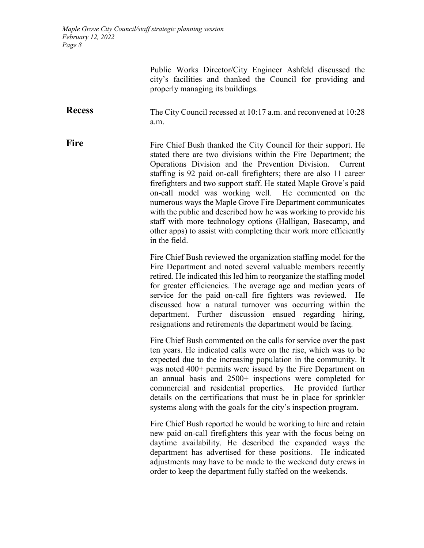> Public Works Director/City Engineer Ashfeld discussed the city's facilities and thanked the Council for providing and properly managing its buildings.

**Recess** The City Council recessed at 10:17 a.m. and reconvened at 10:28 a.m.

**Fire** Fire Chief Bush thanked the City Council for their support. He stated there are two divisions within the Fire Department; the Operations Division and the Prevention Division. Current staffing is 92 paid on-call firefighters; there are also 11 career firefighters and two support staff. He stated Maple Grove's paid on-call model was working well. He commented on the numerous ways the Maple Grove Fire Department communicates with the public and described how he was working to provide his staff with more technology options (Halligan, Basecamp, and other apps) to assist with completing their work more efficiently in the field.

> Fire Chief Bush reviewed the organization staffing model for the Fire Department and noted several valuable members recently retired. He indicated this led him to reorganize the staffing model for greater efficiencies. The average age and median years of service for the paid on-call fire fighters was reviewed. He discussed how a natural turnover was occurring within the department. Further discussion ensued regarding hiring, resignations and retirements the department would be facing.

> Fire Chief Bush commented on the calls for service over the past ten years. He indicated calls were on the rise, which was to be expected due to the increasing population in the community. It was noted 400+ permits were issued by the Fire Department on an annual basis and 2500+ inspections were completed for commercial and residential properties. He provided further details on the certifications that must be in place for sprinkler systems along with the goals for the city's inspection program.

> Fire Chief Bush reported he would be working to hire and retain new paid on-call firefighters this year with the focus being on daytime availability. He described the expanded ways the department has advertised for these positions. He indicated adjustments may have to be made to the weekend duty crews in order to keep the department fully staffed on the weekends.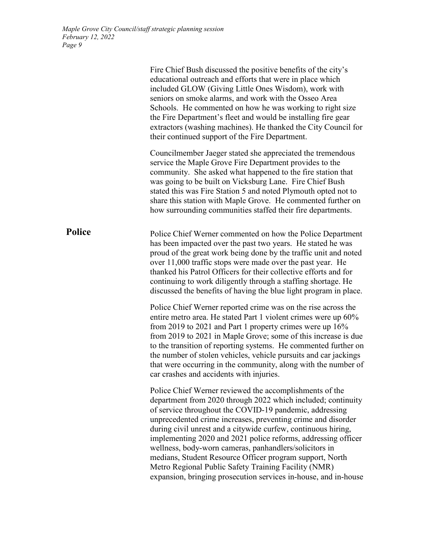|               | Fire Chief Bush discussed the positive benefits of the city's<br>educational outreach and efforts that were in place which<br>included GLOW (Giving Little Ones Wisdom), work with<br>seniors on smoke alarms, and work with the Osseo Area<br>Schools. He commented on how he was working to right size<br>the Fire Department's fleet and would be installing fire gear<br>extractors (washing machines). He thanked the City Council for<br>their continued support of the Fire Department.                                                                                                                                        |
|---------------|---------------------------------------------------------------------------------------------------------------------------------------------------------------------------------------------------------------------------------------------------------------------------------------------------------------------------------------------------------------------------------------------------------------------------------------------------------------------------------------------------------------------------------------------------------------------------------------------------------------------------------------|
|               | Councilmember Jaeger stated she appreciated the tremendous<br>service the Maple Grove Fire Department provides to the<br>community. She asked what happened to the fire station that<br>was going to be built on Vicksburg Lane. Fire Chief Bush<br>stated this was Fire Station 5 and noted Plymouth opted not to<br>share this station with Maple Grove. He commented further on<br>how surrounding communities staffed their fire departments.                                                                                                                                                                                     |
| <b>Police</b> | Police Chief Werner commented on how the Police Department<br>has been impacted over the past two years. He stated he was<br>proud of the great work being done by the traffic unit and noted<br>over 11,000 traffic stops were made over the past year. He<br>thanked his Patrol Officers for their collective efforts and for<br>continuing to work diligently through a staffing shortage. He<br>discussed the benefits of having the blue light program in place.                                                                                                                                                                 |
|               | Police Chief Werner reported crime was on the rise across the<br>entire metro area. He stated Part 1 violent crimes were up 60%<br>from 2019 to 2021 and Part 1 property crimes were up $16\%$<br>from 2019 to 2021 in Maple Grove; some of this increase is due<br>to the transition of reporting systems. He commented further on<br>the number of stolen vehicles, vehicle pursuits and car jackings<br>that were occurring in the community, along with the number of<br>car crashes and accidents with injuries.                                                                                                                 |
|               | Police Chief Werner reviewed the accomplishments of the<br>department from 2020 through 2022 which included; continuity<br>of service throughout the COVID-19 pandemic, addressing<br>unprecedented crime increases, preventing crime and disorder<br>during civil unrest and a citywide curfew, continuous hiring,<br>implementing 2020 and 2021 police reforms, addressing officer<br>wellness, body-worn cameras, panhandlers/solicitors in<br>medians, Student Resource Officer program support, North<br>Metro Regional Public Safety Training Facility (NMR)<br>expansion, bringing prosecution services in-house, and in-house |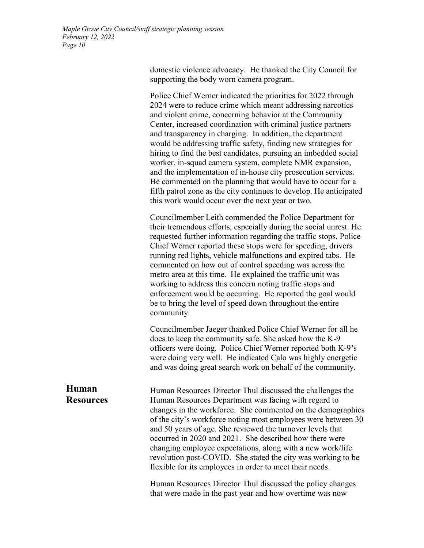domestic violence advocacy. He thanked the City Council for supporting the body worn camera program.

Police Chief Werner indicated the priorities for 2022 through 2024 were to reduce crime which meant addressing narcotics and violent crime, concerning behavior at the Community Center, increased coordination with criminal justice partners and transparency in charging. In addition, the department would be addressing traffic safety, finding new strategies for hiring to find the best candidates, pursuing an imbedded social worker, in-squad camera system, complete NMR expansion, and the implementation of in-house city prosecution services. He commented on the planning that would have to occur for a fifth patrol zone as the city continues to develop. He anticipated this work would occur over the next year or two.

Councilmember Leith commended the Police Department for their tremendous efforts, especially during the social unrest. He requested further information regarding the traffic stops. Police Chief Werner reported these stops were for speeding, drivers running red lights, vehicle malfunctions and expired tabs. He commented on how out of control speeding was across the metro area at this time. He explained the traffic unit was working to address this concern noting traffic stops and enforcement would be occurring. He reported the goal would be to bring the level of speed down throughout the entire community.

Councilmember Jaeger thanked Police Chief Werner for all he does to keep the community safe. She asked how the K-9 officers were doing. Police Chief Werner reported both K-9's were doing very well. He indicated Calo was highly energetic and was doing great search work on behalf of the community.

**Human Resources** Human Resources Director Thul discussed the challenges the Human Resources Department was facing with regard to changes in the workforce. She commented on the demographics of the city's workforce noting most employees were between 30 and 50 years of age. She reviewed the turnover levels that occurred in 2020 and 2021. She described how there were changing employee expectations, along with a new work/life revolution post-COVID. She stated the city was working to be flexible for its employees in order to meet their needs.

> Human Resources Director Thul discussed the policy changes that were made in the past year and how overtime was now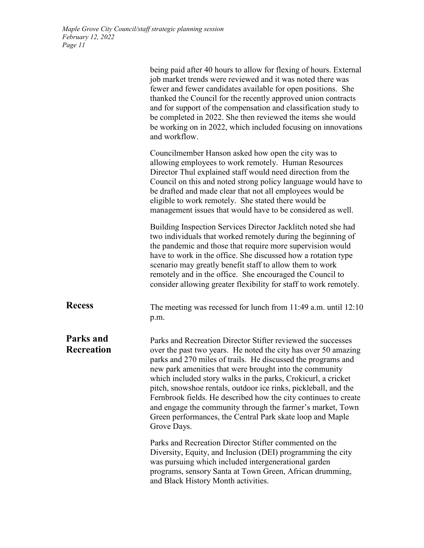|                                | being paid after 40 hours to allow for flexing of hours. External<br>job market trends were reviewed and it was noted there was<br>fewer and fewer candidates available for open positions. She<br>thanked the Council for the recently approved union contracts<br>and for support of the compensation and classification study to<br>be completed in 2022. She then reviewed the items she would<br>be working on in 2022, which included focusing on innovations<br>and workflow.                                                                                                                       |
|--------------------------------|------------------------------------------------------------------------------------------------------------------------------------------------------------------------------------------------------------------------------------------------------------------------------------------------------------------------------------------------------------------------------------------------------------------------------------------------------------------------------------------------------------------------------------------------------------------------------------------------------------|
|                                | Councilmember Hanson asked how open the city was to<br>allowing employees to work remotely. Human Resources<br>Director Thul explained staff would need direction from the<br>Council on this and noted strong policy language would have to<br>be drafted and made clear that not all employees would be<br>eligible to work remotely. She stated there would be<br>management issues that would have to be considered as well.                                                                                                                                                                           |
|                                | Building Inspection Services Director Jacklitch noted she had<br>two individuals that worked remotely during the beginning of<br>the pandemic and those that require more supervision would<br>have to work in the office. She discussed how a rotation type<br>scenario may greatly benefit staff to allow them to work<br>remotely and in the office. She encouraged the Council to<br>consider allowing greater flexibility for staff to work remotely.                                                                                                                                                 |
| <b>Recess</b>                  | The meeting was recessed for lunch from $11:49$ a.m. until $12:10$<br>p.m.                                                                                                                                                                                                                                                                                                                                                                                                                                                                                                                                 |
| Parks and<br><b>Recreation</b> | Parks and Recreation Director Stifter reviewed the successes<br>over the past two years. He noted the city has over 50 amazing<br>parks and 270 miles of trails. He discussed the programs and<br>new park amenities that were brought into the community<br>which included story walks in the parks, Crokicurl, a cricket<br>pitch, snowshoe rentals, outdoor ice rinks, pickleball, and the<br>Fernbrook fields. He described how the city continues to create<br>and engage the community through the farmer's market, Town<br>Green performances, the Central Park skate loop and Maple<br>Grove Days. |
|                                | Parks and Recreation Director Stifter commented on the<br>Diversity, Equity, and Inclusion (DEI) programming the city<br>was pursuing which included intergenerational garden<br>programs, sensory Santa at Town Green, African drumming,<br>and Black History Month activities.                                                                                                                                                                                                                                                                                                                           |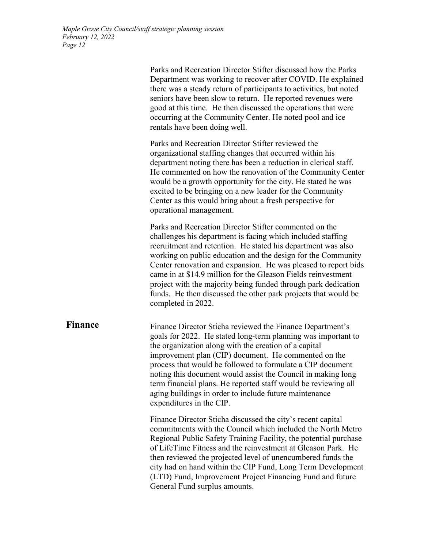Parks and Recreation Director Stifter discussed how the Parks Department was working to recover after COVID. He explained there was a steady return of participants to activities, but noted seniors have been slow to return. He reported revenues were good at this time. He then discussed the operations that were occurring at the Community Center. He noted pool and ice rentals have been doing well. Parks and Recreation Director Stifter reviewed the organizational staffing changes that occurred within his department noting there has been a reduction in clerical staff. He commented on how the renovation of the Community Center would be a growth opportunity for the city. He stated he was excited to be bringing on a new leader for the Community Center as this would bring about a fresh perspective for operational management. Parks and Recreation Director Stifter commented on the challenges his department is facing which included staffing recruitment and retention. He stated his department was also working on public education and the design for the Community Center renovation and expansion. He was pleased to report bids came in at \$14.9 million for the Gleason Fields reinvestment project with the majority being funded through park dedication funds. He then discussed the other park projects that would be completed in 2022. **Finance** Finance Director Sticha reviewed the Finance Department's goals for 2022. He stated long-term planning was important to the organization along with the creation of a capital improvement plan (CIP) document. He commented on the process that would be followed to formulate a CIP document noting this document would assist the Council in making long term financial plans. He reported staff would be reviewing all aging buildings in order to include future maintenance expenditures in the CIP. Finance Director Sticha discussed the city's recent capital commitments with the Council which included the North Metro Regional Public Safety Training Facility, the potential purchase of LifeTime Fitness and the reinvestment at Gleason Park. He then reviewed the projected level of unencumbered funds the city had on hand within the CIP Fund, Long Term Development (LTD) Fund, Improvement Project Financing Fund and future General Fund surplus amounts.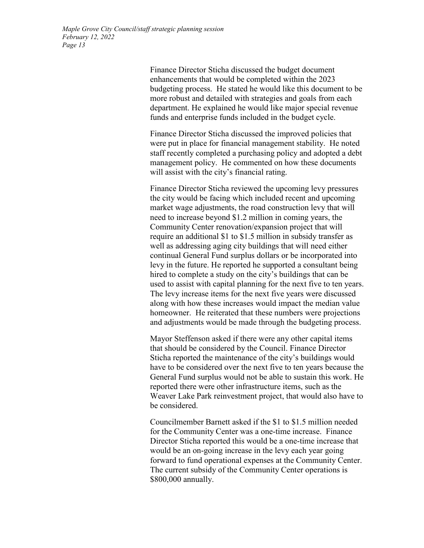Finance Director Sticha discussed the budget document enhancements that would be completed within the 2023 budgeting process. He stated he would like this document to be more robust and detailed with strategies and goals from each department. He explained he would like major special revenue funds and enterprise funds included in the budget cycle.

Finance Director Sticha discussed the improved policies that were put in place for financial management stability. He noted staff recently completed a purchasing policy and adopted a debt management policy. He commented on how these documents will assist with the city's financial rating.

Finance Director Sticha reviewed the upcoming levy pressures the city would be facing which included recent and upcoming market wage adjustments, the road construction levy that will need to increase beyond \$1.2 million in coming years, the Community Center renovation/expansion project that will require an additional \$1 to \$1.5 million in subsidy transfer as well as addressing aging city buildings that will need either continual General Fund surplus dollars or be incorporated into levy in the future. He reported he supported a consultant being hired to complete a study on the city's buildings that can be used to assist with capital planning for the next five to ten years. The levy increase items for the next five years were discussed along with how these increases would impact the median value homeowner. He reiterated that these numbers were projections and adjustments would be made through the budgeting process.

Mayor Steffenson asked if there were any other capital items that should be considered by the Council. Finance Director Sticha reported the maintenance of the city's buildings would have to be considered over the next five to ten years because the General Fund surplus would not be able to sustain this work. He reported there were other infrastructure items, such as the Weaver Lake Park reinvestment project, that would also have to be considered.

Councilmember Barnett asked if the \$1 to \$1.5 million needed for the Community Center was a one-time increase. Finance Director Sticha reported this would be a one-time increase that would be an on-going increase in the levy each year going forward to fund operational expenses at the Community Center. The current subsidy of the Community Center operations is \$800,000 annually.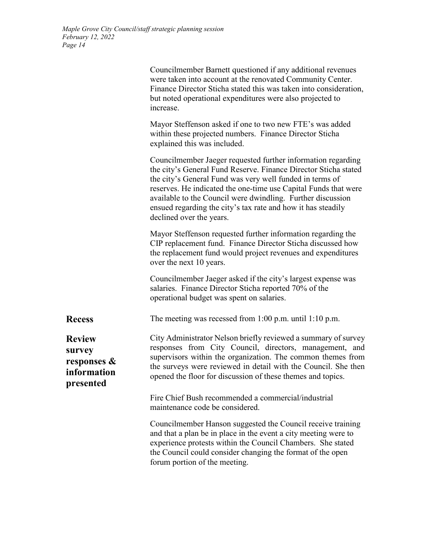|                                                                       | Councilmember Barnett questioned if any additional revenues<br>were taken into account at the renovated Community Center.<br>Finance Director Sticha stated this was taken into consideration,<br>but noted operational expenditures were also projected to<br>increase.                                                                                                                                                  |
|-----------------------------------------------------------------------|---------------------------------------------------------------------------------------------------------------------------------------------------------------------------------------------------------------------------------------------------------------------------------------------------------------------------------------------------------------------------------------------------------------------------|
|                                                                       | Mayor Steffenson asked if one to two new FTE's was added<br>within these projected numbers. Finance Director Sticha<br>explained this was included.                                                                                                                                                                                                                                                                       |
|                                                                       | Councilmember Jaeger requested further information regarding<br>the city's General Fund Reserve. Finance Director Sticha stated<br>the city's General Fund was very well funded in terms of<br>reserves. He indicated the one-time use Capital Funds that were<br>available to the Council were dwindling. Further discussion<br>ensued regarding the city's tax rate and how it has steadily<br>declined over the years. |
|                                                                       | Mayor Steffenson requested further information regarding the<br>CIP replacement fund. Finance Director Sticha discussed how<br>the replacement fund would project revenues and expenditures<br>over the next 10 years.                                                                                                                                                                                                    |
|                                                                       | Councilmember Jaeger asked if the city's largest expense was<br>salaries. Finance Director Sticha reported 70% of the<br>operational budget was spent on salaries.                                                                                                                                                                                                                                                        |
| <b>Recess</b>                                                         | The meeting was recessed from $1:00$ p.m. until $1:10$ p.m.                                                                                                                                                                                                                                                                                                                                                               |
| <b>Review</b><br>survey<br>responses $\&$<br>information<br>presented | City Administrator Nelson briefly reviewed a summary of survey<br>responses from City Council, directors, management, and<br>supervisors within the organization. The common themes from<br>the surveys were reviewed in detail with the Council. She then<br>opened the floor for discussion of these themes and topics.                                                                                                 |
|                                                                       | Fire Chief Bush recommended a commercial/industrial<br>maintenance code be considered.                                                                                                                                                                                                                                                                                                                                    |
|                                                                       | Councilmember Hanson suggested the Council receive training<br>and that a plan be in place in the event a city meeting were to<br>experience protests within the Council Chambers. She stated<br>the Council could consider changing the format of the open<br>forum portion of the meeting.                                                                                                                              |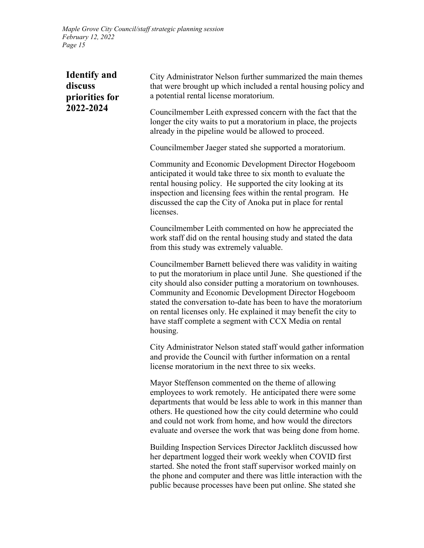| <b>Identify and</b><br>discuss<br>priorities for<br>2022-2024 | City Administrator Nelson further summarized the main themes<br>that were brought up which included a rental housing policy and<br>a potential rental license moratorium.                                                                                                                                                                                                                                                                                              |
|---------------------------------------------------------------|------------------------------------------------------------------------------------------------------------------------------------------------------------------------------------------------------------------------------------------------------------------------------------------------------------------------------------------------------------------------------------------------------------------------------------------------------------------------|
|                                                               | Councilmember Leith expressed concern with the fact that the<br>longer the city waits to put a moratorium in place, the projects<br>already in the pipeline would be allowed to proceed.                                                                                                                                                                                                                                                                               |
|                                                               | Councilmember Jaeger stated she supported a moratorium.                                                                                                                                                                                                                                                                                                                                                                                                                |
|                                                               | Community and Economic Development Director Hogeboom<br>anticipated it would take three to six month to evaluate the<br>rental housing policy. He supported the city looking at its<br>inspection and licensing fees within the rental program. He<br>discussed the cap the City of Anoka put in place for rental<br>licenses.                                                                                                                                         |
|                                                               | Councilmember Leith commented on how he appreciated the<br>work staff did on the rental housing study and stated the data<br>from this study was extremely valuable.                                                                                                                                                                                                                                                                                                   |
|                                                               | Councilmember Barnett believed there was validity in waiting<br>to put the moratorium in place until June. She questioned if the<br>city should also consider putting a moratorium on townhouses.<br>Community and Economic Development Director Hogeboom<br>stated the conversation to-date has been to have the moratorium<br>on rental licenses only. He explained it may benefit the city to<br>have staff complete a segment with CCX Media on rental<br>housing. |
|                                                               | City Administrator Nelson stated staff would gather information<br>and provide the Council with further information on a rental<br>license moratorium in the next three to six weeks.                                                                                                                                                                                                                                                                                  |
|                                                               | Mayor Steffenson commented on the theme of allowing<br>employees to work remotely. He anticipated there were some<br>departments that would be less able to work in this manner than<br>others. He questioned how the city could determine who could<br>and could not work from home, and how would the directors<br>evaluate and oversee the work that was being done from home.                                                                                      |
|                                                               | Building Inspection Services Director Jacklitch discussed how<br>her department logged their work weekly when COVID first<br>started. She noted the front staff supervisor worked mainly on<br>the phone and computer and there was little interaction with the<br>public because processes have been put online. She stated she                                                                                                                                       |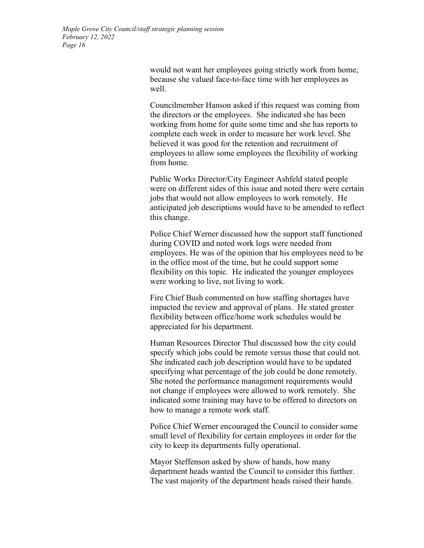would not want her employees going strictly work from home, because she valued face-to-face time with her employees as well.

Councilmember Hanson asked if this request was coming from the directors or the employees. She indicated she has been working from home for quite some time and she has reports to complete each week in order to measure her work level. She believed it was good for the retention and recruitment of employees to allow some employees the flexibility of working from home.

Public Works Director/City Engineer Ashfeld stated people were on different sides of this issue and noted there were certain jobs that would not allow employees to work remotely. He anticipated job descriptions would have to be amended to reflect this change.

Police Chief Werner discussed how the support staff functioned during COVID and noted work logs were needed from employees. He was of the opinion that his employees need to be in the office most of the time, but he could support some flexibility on this topic. He indicated the younger employees were working to live, not living to work.

Fire Chief Bush commented on how staffing shortages have impacted the review and approval of plans. He stated greater flexibility between office/home work schedules would be appreciated for his department.

Human Resources Director Thul discussed how the city could specify which jobs could be remote versus those that could not. She indicated each job description would have to be updated specifying what percentage of the job could be done remotely. She noted the performance management requirements would not change if employees were allowed to work remotely. She indicated some training may have to be offered to directors on how to manage a remote work staff.

Police Chief Werner encouraged the Council to consider some small level of flexibility for certain employees in order for the city to keep its departments fully operational.

Mayor Steffenson asked by show of hands, how many department heads wanted the Council to consider this further. The vast majority of the department heads raised their hands.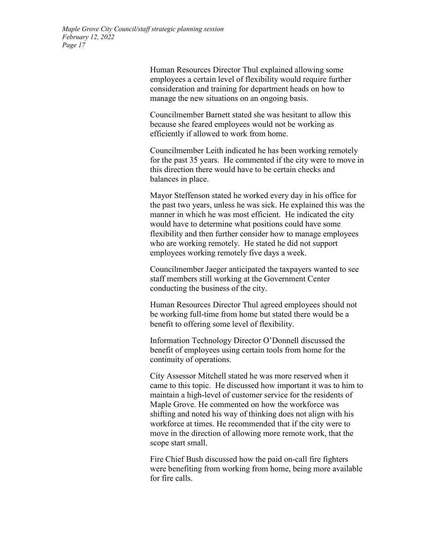Human Resources Director Thul explained allowing some employees a certain level of flexibility would require further consideration and training for department heads on how to manage the new situations on an ongoing basis.

Councilmember Barnett stated she was hesitant to allow this because she feared employees would not be working as efficiently if allowed to work from home.

Councilmember Leith indicated he has been working remotely for the past 35 years. He commented if the city were to move in this direction there would have to be certain checks and balances in place.

Mayor Steffenson stated he worked every day in his office for the past two years, unless he was sick. He explained this was the manner in which he was most efficient. He indicated the city would have to determine what positions could have some flexibility and then further consider how to manage employees who are working remotely. He stated he did not support employees working remotely five days a week.

Councilmember Jaeger anticipated the taxpayers wanted to see staff members still working at the Government Center conducting the business of the city.

Human Resources Director Thul agreed employees should not be working full-time from home but stated there would be a benefit to offering some level of flexibility.

Information Technology Director O'Donnell discussed the benefit of employees using certain tools from home for the continuity of operations.

City Assessor Mitchell stated he was more reserved when it came to this topic. He discussed how important it was to him to maintain a high-level of customer service for the residents of Maple Grove. He commented on how the workforce was shifting and noted his way of thinking does not align with his workforce at times. He recommended that if the city were to move in the direction of allowing more remote work, that the scope start small.

Fire Chief Bush discussed how the paid on-call fire fighters were benefiting from working from home, being more available for fire calls.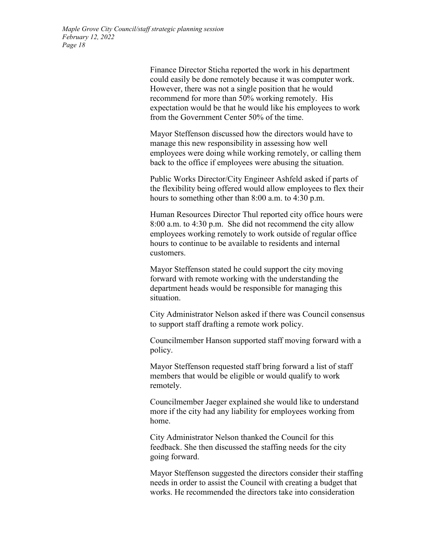Finance Director Sticha reported the work in his department could easily be done remotely because it was computer work. However, there was not a single position that he would recommend for more than 50% working remotely. His expectation would be that he would like his employees to work from the Government Center 50% of the time.

Mayor Steffenson discussed how the directors would have to manage this new responsibility in assessing how well employees were doing while working remotely, or calling them back to the office if employees were abusing the situation.

Public Works Director/City Engineer Ashfeld asked if parts of the flexibility being offered would allow employees to flex their hours to something other than 8:00 a.m. to 4:30 p.m.

Human Resources Director Thul reported city office hours were 8:00 a.m. to 4:30 p.m. She did not recommend the city allow employees working remotely to work outside of regular office hours to continue to be available to residents and internal customers.

Mayor Steffenson stated he could support the city moving forward with remote working with the understanding the department heads would be responsible for managing this situation.

City Administrator Nelson asked if there was Council consensus to support staff drafting a remote work policy.

Councilmember Hanson supported staff moving forward with a policy.

Mayor Steffenson requested staff bring forward a list of staff members that would be eligible or would qualify to work remotely.

Councilmember Jaeger explained she would like to understand more if the city had any liability for employees working from home.

City Administrator Nelson thanked the Council for this feedback. She then discussed the staffing needs for the city going forward.

Mayor Steffenson suggested the directors consider their staffing needs in order to assist the Council with creating a budget that works. He recommended the directors take into consideration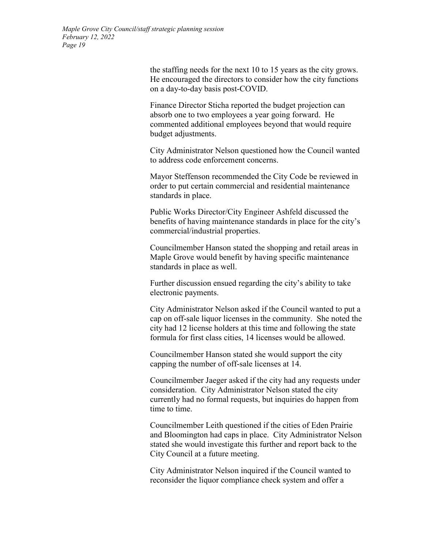the staffing needs for the next 10 to 15 years as the city grows. He encouraged the directors to consider how the city functions on a day-to-day basis post-COVID.

Finance Director Sticha reported the budget projection can absorb one to two employees a year going forward. He commented additional employees beyond that would require budget adjustments.

City Administrator Nelson questioned how the Council wanted to address code enforcement concerns.

Mayor Steffenson recommended the City Code be reviewed in order to put certain commercial and residential maintenance standards in place.

Public Works Director/City Engineer Ashfeld discussed the benefits of having maintenance standards in place for the city's commercial/industrial properties.

Councilmember Hanson stated the shopping and retail areas in Maple Grove would benefit by having specific maintenance standards in place as well.

Further discussion ensued regarding the city's ability to take electronic payments.

City Administrator Nelson asked if the Council wanted to put a cap on off-sale liquor licenses in the community. She noted the city had 12 license holders at this time and following the state formula for first class cities, 14 licenses would be allowed.

Councilmember Hanson stated she would support the city capping the number of off-sale licenses at 14.

Councilmember Jaeger asked if the city had any requests under consideration. City Administrator Nelson stated the city currently had no formal requests, but inquiries do happen from time to time.

Councilmember Leith questioned if the cities of Eden Prairie and Bloomington had caps in place. City Administrator Nelson stated she would investigate this further and report back to the City Council at a future meeting.

City Administrator Nelson inquired if the Council wanted to reconsider the liquor compliance check system and offer a